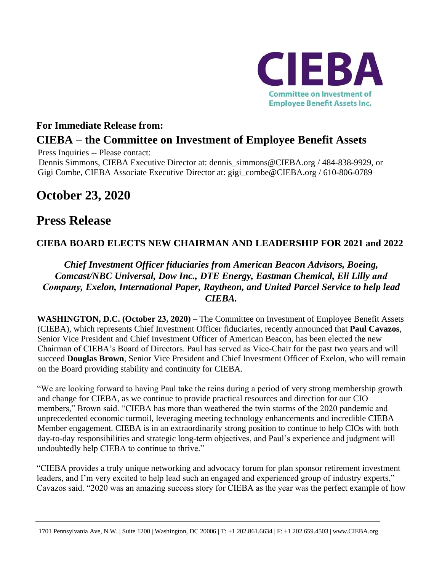

### **For Immediate Release from: CIEBA – the Committee on Investment of Employee Benefit Assets**

Press Inquiries -- Please contact:

Dennis Simmons, CIEBA Executive Director at: [dennis\\_simmons@CIEBA.org](mailto:dennis_simmons@CIEBA.org) / 484-838-9929, or Gigi Combe, CIEBA Associate Executive Director at: gigi\_combe@CIEBA.org / 610-806-0789

# **October 23, 2020**

## **Press Release**

#### **CIEBA BOARD ELECTS NEW CHAIRMAN AND LEADERSHIP FOR 2021 and 2022**

#### *Chief Investment Officer fiduciaries from American Beacon Advisors, Boeing, Comcast/NBC Universal, Dow Inc., DTE Energy, Eastman Chemical, Eli Lilly and Company, Exelon, International Paper, Raytheon, and United Parcel Service to help lead CIEBA.*

**WASHINGTON, D.C. (October 23, 2020)** – The Committee on Investment of Employee Benefit Assets (CIEBA), which represents Chief Investment Officer fiduciaries, recently announced that **Paul Cavazos**, Senior Vice President and Chief Investment Officer of American Beacon, has been elected the new Chairman of CIEBA's Board of Directors. Paul has served as Vice-Chair for the past two years and will succeed **Douglas Brown**, Senior Vice President and Chief Investment Officer of Exelon, who will remain on the Board providing stability and continuity for CIEBA.

"We are looking forward to having Paul take the reins during a period of very strong membership growth and change for CIEBA, as we continue to provide practical resources and direction for our CIO members," Brown said. "CIEBA has more than weathered the twin storms of the 2020 pandemic and unprecedented economic turmoil, leveraging meeting technology enhancements and incredible CIEBA Member engagement. CIEBA is in an extraordinarily strong position to continue to help CIOs with both day-to-day responsibilities and strategic long-term objectives, and Paul's experience and judgment will undoubtedly help CIEBA to continue to thrive."

"CIEBA provides a truly unique networking and advocacy forum for plan sponsor retirement investment leaders, and I'm very excited to help lead such an engaged and experienced group of industry experts," Cavazos said. "2020 was an amazing success story for CIEBA as the year was the perfect example of how

<sup>1701</sup> Pennsylvania Ave, N.W. | Suite 1200 | Washington, DC 20006 | T: +1 202.861.6634 | F: +1 202.659.4503 | www.CIEBA.org